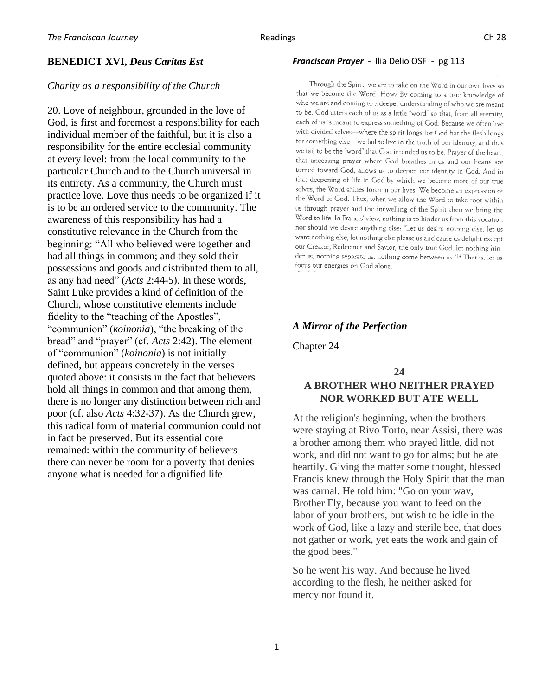## **BENEDICT XVI,** *Deus Caritas Est*

#### *Charity as a responsibility of the Church*

20. Love of neighbour, grounded in the love of God, is first and foremost a responsibility for each individual member of the faithful, but it is also a responsibility for the entire ecclesial community at every level: from the local community to the particular Church and to the Church universal in its entirety. As a community, the Church must practice love. Love thus needs to be organized if it is to be an ordered service to the community. The awareness of this responsibility has had a constitutive relevance in the Church from the beginning: "All who believed were together and had all things in common; and they sold their possessions and goods and distributed them to all, as any had need" (*Acts* 2:44-5). In these words, Saint Luke provides a kind of definition of the Church, whose constitutive elements include fidelity to the "teaching of the Apostles", "communion" (*koinonia*), "the breaking of the bread" and "prayer" (cf. *Acts* 2:42). The element of "communion" (*koinonia*) is not initially defined, but appears concretely in the verses quoted above: it consists in the fact that believers hold all things in common and that among them, there is no longer any distinction between rich and poor (cf. also *Acts* 4:32-37). As the Church grew, this radical form of material communion could not in fact be preserved. But its essential core remained: within the community of believers there can never be room for a poverty that denies anyone what is needed for a dignified life.

#### *Franciscan Prayer* - Ilia Delio OSF - pg 113

Through the Spirit, we are to take on the Word in our own lives so that we become the Word. How? By coming to a true knowledge of who we are and coming to a deeper understanding of who we are meant to be. God utters each of us as a little "word" so that, from all eternity, each of us is meant to express something of God. Because we often live with divided selves-where the spirit longs for God but the flesh longs for something else-we fail to live in the truth of our identity, and thus we fail to be the "word" that God intended us to be. Prayer of the heart. that unceasing prayer where God breathes in us and our hearts are turned toward God, allows us to deepen our identity in God. And in that deepening of life in God by which we become more of our true selves, the Word shines forth in our lives. We become an expression of the Word of God. Thus, when we allow the Word to take root within us through prayer and the indwelling of the Spirit then we bring the Word to life. In Francis' view, nothing is to hinder us from this vocation nor should we desire anything else: "Let us desire nothing else, let us want nothing else, let nothing else please us and cause us delight except our Creator, Redeemer and Savior, the only true God, let nothing hinder us, nothing separate us, nothing come between us."<sup>14</sup> That is, let us focus our energies on God alone.

### *A Mirror of the Perfection*

Chapter 24

# **24 A BROTHER WHO NEITHER PRAYED NOR WORKED BUT ATE WELL**

At the religion's beginning, when the brothers were staying at Rivo Torto, near Assisi, there was a brother among them who prayed little, did not work, and did not want to go for alms; but he ate heartily. Giving the matter some thought, blessed Francis knew through the Holy Spirit that the man was carnal. He told him: "Go on your way, Brother Fly, because you want to feed on the labor of your brothers, but wish to be idle in the work of God, like a lazy and sterile bee, that does not gather or work, yet eats the work and gain of the good bees."

So he went his way. And because he lived according to the flesh, he neither asked for mercy nor found it.